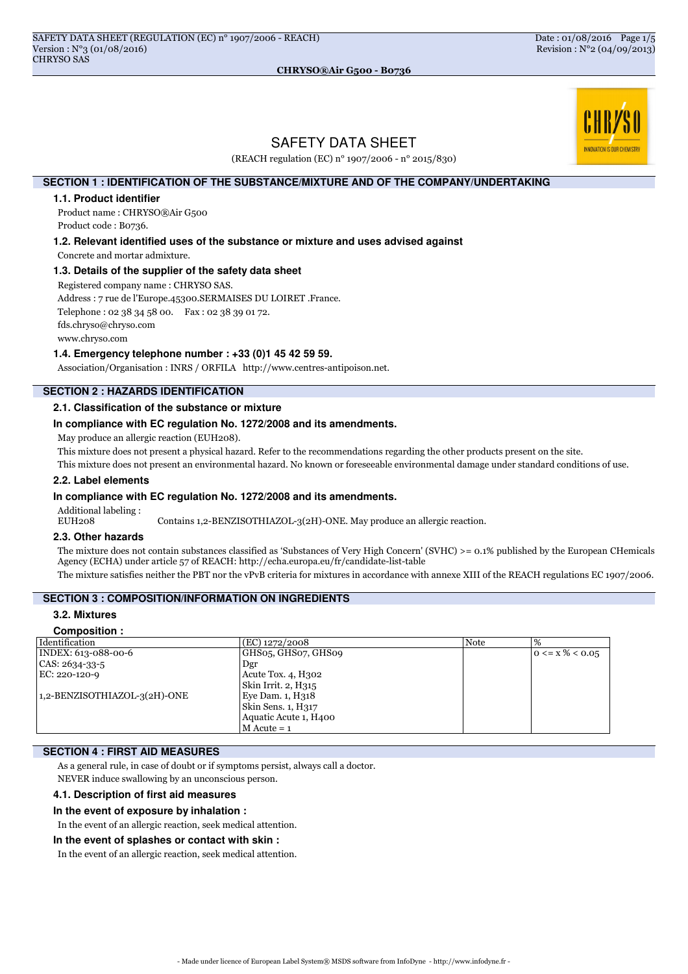# **INOVATION IS OUR CHEMISTE**

# SAFETY DATA SHEET

CHRYSO®Air G500 - B0736

(REACH regulation (EC) n° 1907/2006 - n° 2015/830)

# **SECTION 1 : IDENTIFICATION OF THE SUBSTANCE/MIXTURE AND OF THE COMPANY/UNDERTAKING**

#### **1.1. Product identifier**

Product name : CHRYSO®Air G500 Product code : B0736.

**1.2. Relevant identified uses of the substance or mixture and uses advised against**

Concrete and mortar admixture.

## **1.3. Details of the supplier of the safety data sheet**

Registered company name : CHRYSO SAS.

Address : 7 rue de l'Europe.45300.SERMAISES DU LOIRET .France.

Telephone : 02 38 34 58 00. Fax : 02 38 39 01 72.

fds.chryso@chryso.com

www.chryso.com

## **1.4. Emergency telephone number : +33 (0)1 45 42 59 59.**

Association/Organisation : INRS / ORFILA http://www.centres-antipoison.net.

# **SECTION 2 : HAZARDS IDENTIFICATION**

## **2.1. Classification of the substance or mixture**

#### **In compliance with EC regulation No. 1272/2008 and its amendments.**

May produce an allergic reaction (EUH208).

This mixture does not present a physical hazard. Refer to the recommendations regarding the other products present on the site.

This mixture does not present an environmental hazard. No known or foreseeable environmental damage under standard conditions of use.

#### **2.2. Label elements**

#### **In compliance with EC regulation No. 1272/2008 and its amendments.**

Additional labeling :

EUH208 Contains 1,2-BENZISOTHIAZOL-3(2H)-ONE. May produce an allergic reaction.

# **2.3. Other hazards**

The mixture does not contain substances classified as 'Substances of Very High Concern' (SVHC) >= 0.1% published by the European CHemicals Agency (ECHA) under article 57 of REACH: http://echa.europa.eu/fr/candidate-list-table

The mixture satisfies neither the PBT nor the vPvB criteria for mixtures in accordance with annexe XIII of the REACH regulations EC 1907/2006.

# **SECTION 3 : COMPOSITION/INFORMATION ON INGREDIENTS**

# **3.2. Mixtures**

#### **Composition :**

| Identification               | $E$ (EC) 1272/2008    | <b>Note</b> | %                    |
|------------------------------|-----------------------|-------------|----------------------|
| INDEX: 613-088-00-6          | GHS05, GHS07, GHS09   |             | $0 \le x\% \le 0.05$ |
| CAS: 2634-33-5               | Dgr                   |             |                      |
| EC: 220-120-9                | Acute Tox. 4, H302    |             |                      |
|                              | Skin Irrit. 2, H315   |             |                      |
| 1,2-BENZISOTHIAZOL-3(2H)-ONE | Eye Dam. 1, H318      |             |                      |
|                              | Skin Sens. 1, H317    |             |                      |
|                              | Aquatic Acute 1, H400 |             |                      |
|                              | M Acute = 1           |             |                      |

## **SECTION 4 : FIRST AID MEASURES**

As a general rule, in case of doubt or if symptoms persist, always call a doctor.

NEVER induce swallowing by an unconscious person.

#### **4.1. Description of first aid measures**

#### **In the event of exposure by inhalation :**

In the event of an allergic reaction, seek medical attention.

#### **In the event of splashes or contact with skin :**

In the event of an allergic reaction, seek medical attention.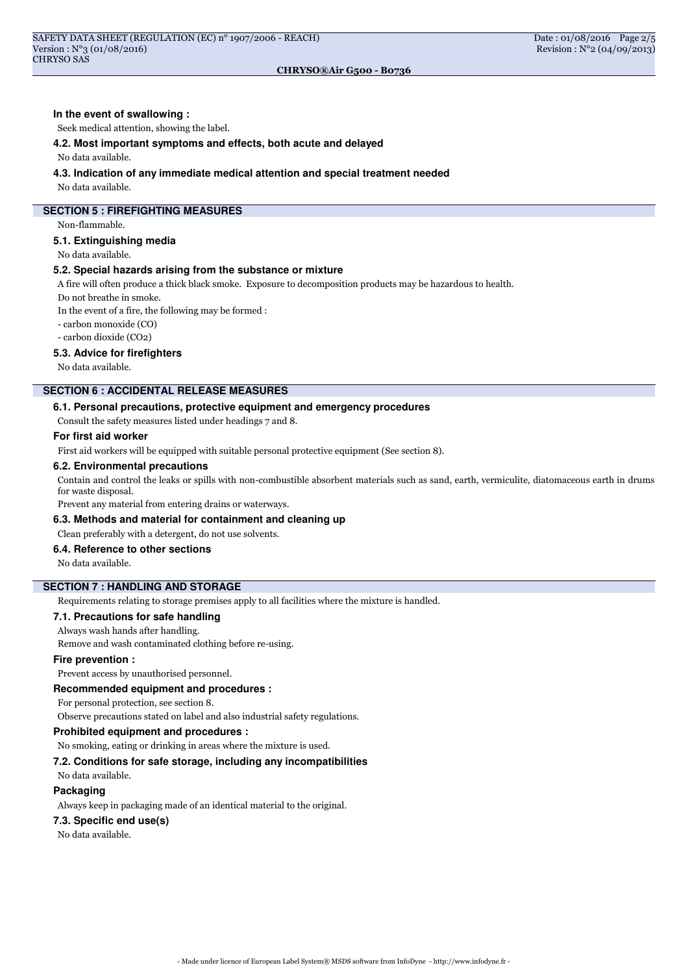#### CHRYSO®Air G500 - B0736

#### **In the event of swallowing :**

Seek medical attention, showing the label.

#### **4.2. Most important symptoms and effects, both acute and delayed**

#### No data available.

#### **4.3. Indication of any immediate medical attention and special treatment needed**

No data available.

## **SECTION 5 : FIREFIGHTING MEASURES**

Non-flammable.

## **5.1. Extinguishing media**

No data available.

## **5.2. Special hazards arising from the substance or mixture**

A fire will often produce a thick black smoke. Exposure to decomposition products may be hazardous to health.

Do not breathe in smoke.

In the event of a fire, the following may be formed :

- carbon monoxide (CO)

- carbon dioxide (CO2)

#### **5.3. Advice for firefighters**

No data available.

# **SECTION 6 : ACCIDENTAL RELEASE MEASURES**

## **6.1. Personal precautions, protective equipment and emergency procedures**

Consult the safety measures listed under headings 7 and 8.

#### **For first aid worker**

First aid workers will be equipped with suitable personal protective equipment (See section 8).

#### **6.2. Environmental precautions**

Contain and control the leaks or spills with non-combustible absorbent materials such as sand, earth, vermiculite, diatomaceous earth in drums for waste disposal.

Prevent any material from entering drains or waterways.

#### **6.3. Methods and material for containment and cleaning up**

Clean preferably with a detergent, do not use solvents.

## **6.4. Reference to other sections**

No data available.

## **SECTION 7 : HANDLING AND STORAGE**

Requirements relating to storage premises apply to all facilities where the mixture is handled.

#### **7.1. Precautions for safe handling**

Always wash hands after handling.

Remove and wash contaminated clothing before re-using.

#### **Fire prevention :**

Prevent access by unauthorised personnel.

## **Recommended equipment and procedures :**

For personal protection, see section 8.

Observe precautions stated on label and also industrial safety regulations.

## **Prohibited equipment and procedures :**

No smoking, eating or drinking in areas where the mixture is used.

#### **7.2. Conditions for safe storage, including any incompatibilities**

No data available.

## **Packaging**

Always keep in packaging made of an identical material to the original.

#### **7.3. Specific end use(s)**

No data available.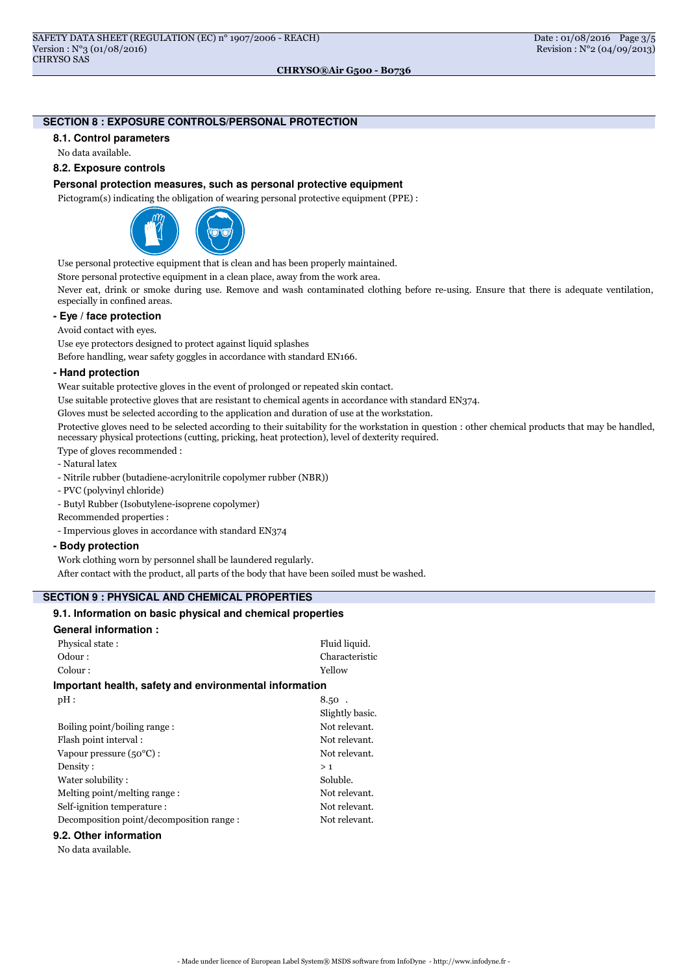## CHRYSO®Air G500 - B0736

# **SECTION 8 : EXPOSURE CONTROLS/PERSONAL PROTECTION**

## **8.1. Control parameters**

No data available.

## **8.2. Exposure controls**

## **Personal protection measures, such as personal protective equipment**

Pictogram(s) indicating the obligation of wearing personal protective equipment (PPE) :



Use personal protective equipment that is clean and has been properly maintained.

Store personal protective equipment in a clean place, away from the work area.

Never eat, drink or smoke during use. Remove and wash contaminated clothing before re-using. Ensure that there is adequate ventilation, especially in confined areas.

#### **- Eye / face protection**

Avoid contact with eyes.

Use eye protectors designed to protect against liquid splashes

Before handling, wear safety goggles in accordance with standard EN166.

#### **- Hand protection**

Wear suitable protective gloves in the event of prolonged or repeated skin contact.

Use suitable protective gloves that are resistant to chemical agents in accordance with standard EN374.

Gloves must be selected according to the application and duration of use at the workstation.

Protective gloves need to be selected according to their suitability for the workstation in question : other chemical products that may be handled, necessary physical protections (cutting, pricking, heat protection), level of dexterity required.

- Type of gloves recommended :
- Natural latex
- Nitrile rubber (butadiene-acrylonitrile copolymer rubber (NBR))
- PVC (polyvinyl chloride)
- Butyl Rubber (Isobutylene-isoprene copolymer)
- Recommended properties :
- Impervious gloves in accordance with standard EN374

## **- Body protection**

Work clothing worn by personnel shall be laundered regularly.

After contact with the product, all parts of the body that have been soiled must be washed.

# **SECTION 9 : PHYSICAL AND CHEMICAL PROPERTIES**

## **9.1. Information on basic physical and chemical properties**

## **General information :**

| Physical state:                                        | Fluid liquid.   |
|--------------------------------------------------------|-----------------|
| Odour:                                                 | Characteristic  |
| Colour:                                                | Yellow          |
| Important health, safety and environmental information |                 |
| pH:                                                    | $8.50$ .        |
|                                                        | Slightly basic. |
| Boiling point/boiling range:                           | Not relevant.   |
| Flash point interval:                                  | Not relevant.   |
| Vapour pressure $(50^{\circ}C)$ :                      | Not relevant.   |
| Density:                                               | >1              |
| Water solubility:                                      | Soluble.        |
| Melting point/melting range:                           | Not relevant.   |
| Self-ignition temperature :                            | Not relevant.   |
| Decomposition point/decomposition range:               | Not relevant.   |
|                                                        |                 |

#### **9.2. Other information**

No data available.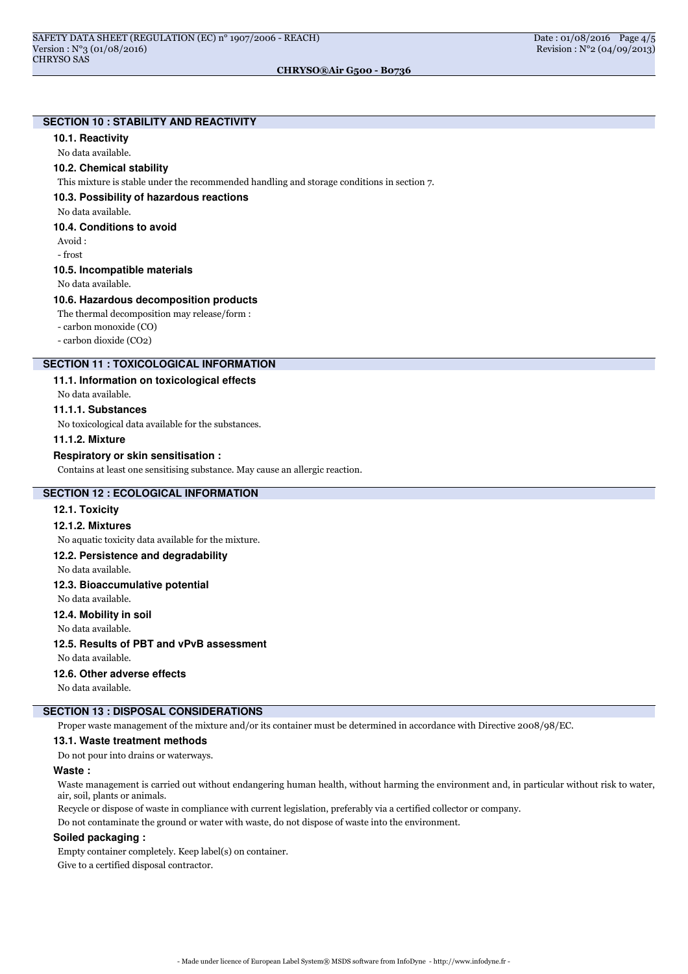## CHRYSO®Air G500 - B0736

# **SECTION 10 : STABILITY AND REACTIVITY**

## **10.1. Reactivity**

No data available.

#### **10.2. Chemical stability**

This mixture is stable under the recommended handling and storage conditions in section 7.

**10.3. Possibility of hazardous reactions**

No data available.

#### **10.4. Conditions to avoid**

Avoid : - frost

## **10.5. Incompatible materials**

No data available.

## **10.6. Hazardous decomposition products**

The thermal decomposition may release/form :

- carbon monoxide (CO)

- carbon dioxide (CO2)

## **SECTION 11 : TOXICOLOGICAL INFORMATION**

#### **11.1. Information on toxicological effects**

No data available.

## **11.1.1. Substances**

No toxicological data available for the substances.

# **11.1.2. Mixture**

#### **Respiratory or skin sensitisation :**

Contains at least one sensitising substance. May cause an allergic reaction.

## **SECTION 12 : ECOLOGICAL INFORMATION**

#### **12.1. Toxicity**

#### **12.1.2. Mixtures**

No aquatic toxicity data available for the mixture.

## **12.2. Persistence and degradability**

No data available.

## **12.3. Bioaccumulative potential**

No data available.

#### **12.4. Mobility in soil**

No data available.

# **12.5. Results of PBT and vPvB assessment**

No data available.

## **12.6. Other adverse effects**

No data available.

# **SECTION 13 : DISPOSAL CONSIDERATIONS**

Proper waste management of the mixture and/or its container must be determined in accordance with Directive 2008/98/EC.

## **13.1. Waste treatment methods**

Do not pour into drains or waterways.

#### **Waste :**

Waste management is carried out without endangering human health, without harming the environment and, in particular without risk to water, air, soil, plants or animals.

Recycle or dispose of waste in compliance with current legislation, preferably via a certified collector or company.

Do not contaminate the ground or water with waste, do not dispose of waste into the environment.

#### **Soiled packaging :**

Empty container completely. Keep label(s) on container. Give to a certified disposal contractor.